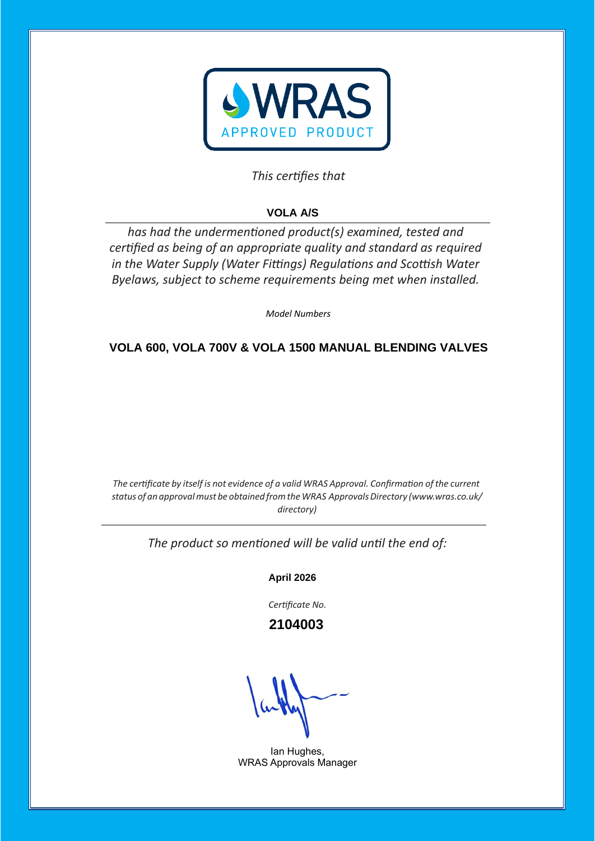

# This certifies that

# **VOLA A/S**

has had the undermentioned product(s) examined, tested and certified as being of an appropriate quality and standard as required *in the Water Supply (Water Fittings) Regulations and Scottish Water Byelaws, subject to scheme requirements being met when installed.* 

*Model Numbers* 

# **VOLA 600, VOLA 700V & VOLA 1500 MANUAL BLENDING VALVES**

*The certificate by itself is not evidence of a valid WRAS Approval. Confirmation of the current status of an approvalmust be obtained fromtheWRAS ApprovalsDirectory [\(www.wras.co.uk/](http://www.wras.co.uk/directory)) [directory\)](http://www.wras.co.uk/directory))*

The product so mentioned will be valid until the end of:

**April 2026**

Certificate No.

 **2104003**

Ian Hughes, WRAS Approvals Manager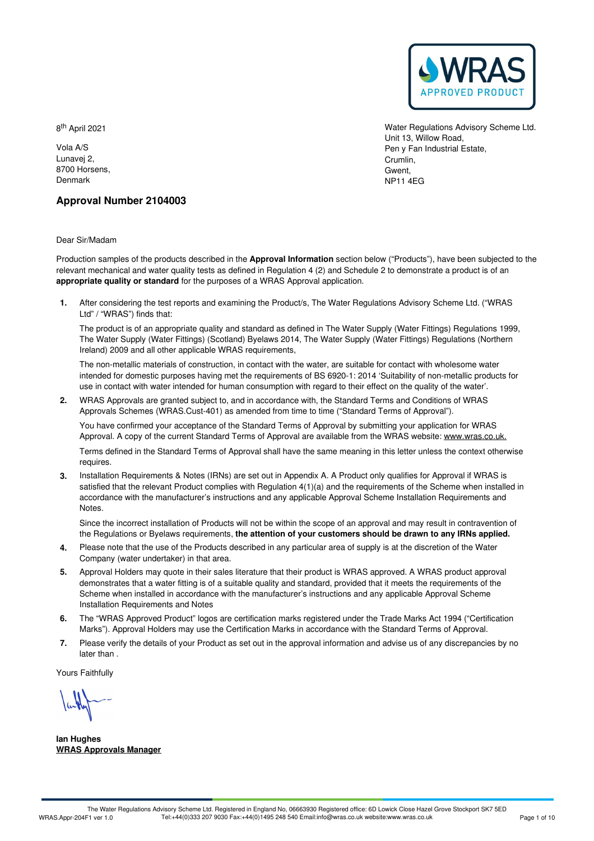

Water Regulations Advisory Scheme Ltd. Unit 13, Willow Road, Pen y Fan Industrial Estate, Crumlin, Gwent, NP11 4EG

8<sup>th</sup> April 2021

Vola A/S Lunavej 2, 8700 Horsens, Denmark

# **Approval Number 2104003**

Dear Sir/Madam

Production samples of the products described in the **Approval Information** section below ("Products"), have been subjected to the relevant mechanical and water quality tests as defined in Regulation 4 (2) and Schedule 2 to demonstrate a product is of an **appropriate quality or standard** for the purposes of a WRAS Approval application.

After considering the test reports and examining the Product/s, The Water Regulations Advisory Scheme Ltd. ("WRAS **1.** Ltd" / "WRAS") finds that:

The product is of an appropriate quality and standard as defined in The Water Supply (Water Fittings) Regulations 1999, The Water Supply (Water Fittings) (Scotland) Byelaws 2014, The Water Supply (Water Fittings) Regulations (Northern Ireland) 2009 and all other applicable WRAS requirements,

The non-metallic materials of construction, in contact with the water, are suitable for contact with wholesome water intended for domestic purposes having met the requirements of BS 6920-1:2014 'Suitability of non-metallic products for use in contact with water intended for human consumption with regard to their effect on the quality of the water'.

WRAS Approvals are granted subject to, and in accordance with, the Standard Terms and Conditions of WRAS **2.** Approvals Schemes (WRAS.Cust-401) as amended from time to time ("Standard Terms of Approval").

You have confirmed your acceptance of the Standard Terms of Approval by submitting your application for WRAS Approval. A copy of the current Standard Terms of Approval are available from the WRAS website: [www.wras.co.uk.](https://www.wras.co.uk)

Terms defined in the Standard Terms of Approval shall have the same meaning in this letter unless the context otherwise requires.

**3.** Installation Requirements & Notes (IRNs) are set out in Appendix A. A Product only qualifies for Approval if WRAS is satisfied that the relevant Product complies with Regulation 4(1)(a) and the requirements of the Scheme when installed in accordance with the manufacturer's instructions and any applicable Approval Scheme Installation Requirements and Notes.

Since the incorrect installation of Products will not be within the scope of an approval and may result in contravention of the Regulations or Byelaws requirements, **the attention of your customers should be drawn to any IRNs applied.**

- Please note that the use of the Products described in any particular area of supply is at the discretion of the Water **4.** Please note that the use of the Products of Company (water undertaker) in that area.
- 5. Approval Holders may quote in their sales literature that their product is WRAS approved. A WRAS product approval demonstrates that a water fitting is of a suitable quality and standard, provided that it meets the requirements of the Scheme when installed in accordance with the manufacturer's instructions and any applicable Approval Scheme Installation Requirements and Notes
- The "WRAS Approved Product" logos are certification marks registered under the Trade Marks Act 1994 ("Certification 6. The "WRAS Approved Product" logos are certification marks registered under the Trade Marks Act 1994 ("Certif<br>Marks"). Approval Holders may use the Certification Marks in accordance with the Standard Terms of Approval.
- Please verify the details of your Product as set out in the approval information and advise us of any discrepancies by no later than . **7.**

Yours Faithfully

**Ian Hughes WRAS Approvals Manager**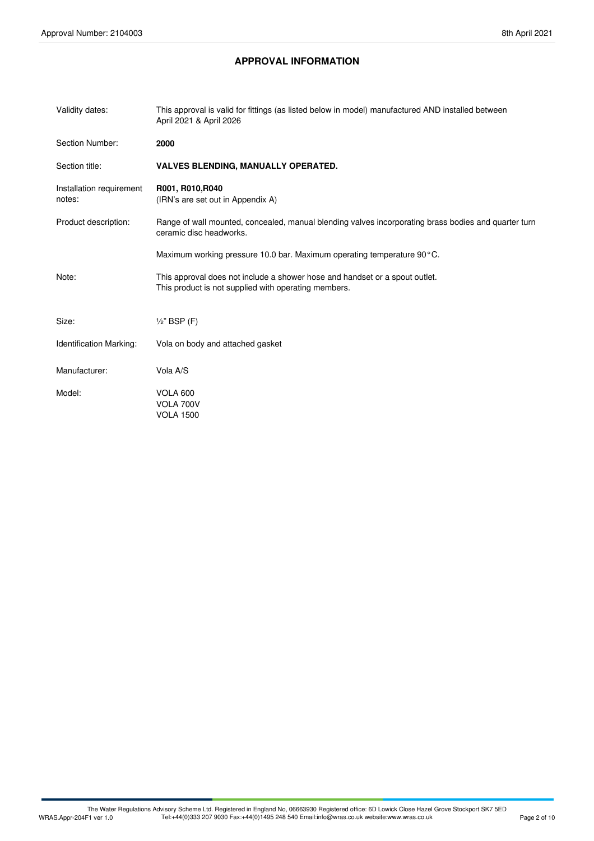# **APPROVAL INFORMATION**

| Validity dates:                    | This approval is valid for fittings (as listed below in model) manufactured AND installed between<br>April 2021 & April 2026        |  |
|------------------------------------|-------------------------------------------------------------------------------------------------------------------------------------|--|
| Section Number:                    | 2000                                                                                                                                |  |
| Section title:                     | <b>VALVES BLENDING, MANUALLY OPERATED.</b>                                                                                          |  |
| Installation requirement<br>notes: | R001, R010, R040<br>(IRN's are set out in Appendix A)                                                                               |  |
| Product description:               | Range of wall mounted, concealed, manual blending valves incorporating brass bodies and quarter turn<br>ceramic disc headworks.     |  |
|                                    | Maximum working pressure 10.0 bar. Maximum operating temperature 90°C.                                                              |  |
| Note:                              | This approval does not include a shower hose and handset or a spout outlet.<br>This product is not supplied with operating members. |  |
| Size:                              | $\frac{1}{2}$ " BSP (F)                                                                                                             |  |
| <b>Identification Marking:</b>     | Vola on body and attached gasket                                                                                                    |  |
| Manufacturer:                      | Vola A/S                                                                                                                            |  |
| Model:                             | <b>VOLA 600</b><br>VOLA 700V<br><b>VOLA 1500</b>                                                                                    |  |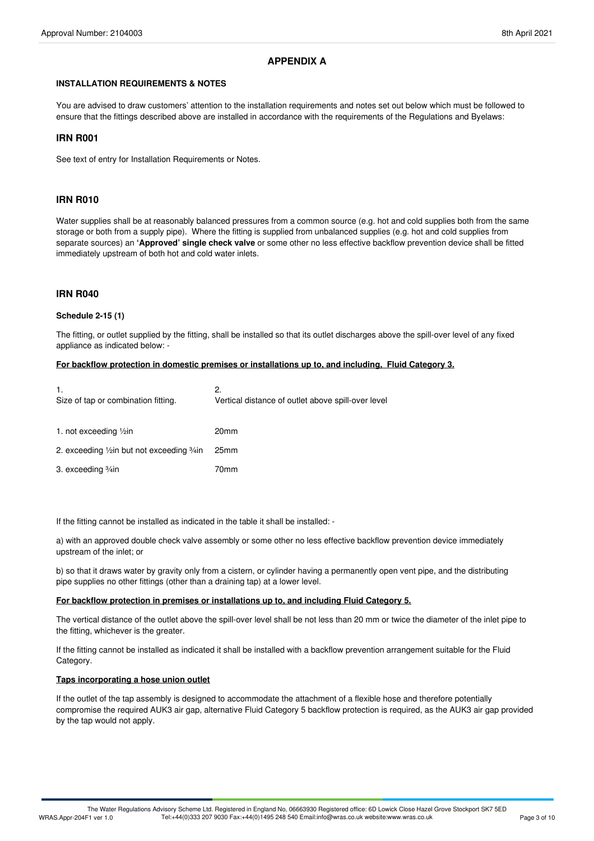# **APPENDIX A**

#### **INSTALLATION REQUIREMENTS & NOTES**

You are advised to draw customers' attention to the installation requirements and notes set out below which must be followed to ensure that the fittings described above are installed in accordance with the requirements of the Regulations and Byelaws:

#### **IRN R001**

See text of entry for Installation Requirements or Notes.

# **IRN R010**

Water supplies shall be at reasonably balanced pressures from a common source (e.g. hot and cold supplies both from the same storage or both from a supply pipe). Where the fitting is supplied from unbalanced supplies (e.g. hot and cold supplies from separate sources) an **'Approved' single check valve** or some other no less effective backflow prevention device shall be fitted immediately upstream of both hot and cold water inlets.

## **IRN R040**

#### **Schedule 2-15 (1)**

The fitting, or outlet supplied by the fitting, shall be installed so that its outlet discharges above the spill-over level of any fixed appliance as indicated below: -

#### **For backflow protection in domestic premises or installations up to, and including, Fluid Category 3.**

| 1.<br>Size of tap or combination fitting.    | 2.<br>Vertical distance of outlet above spill-over level |
|----------------------------------------------|----------------------------------------------------------|
| 1. not exceeding $\frac{1}{2}$ in            | 20 <sub>mm</sub>                                         |
| 2. exceeding 1/2 in but not exceeding 3/4 in | 25 <sub>mm</sub>                                         |
| 3. exceeding <sup>3</sup> / <sub>4</sub> in  | 70mm                                                     |

If the fitting cannot be installed as indicated in the table it shall be installed: -

a) with an approved double check valve assembly or some other no less effective backflow prevention device immediately upstream of the inlet; or

b) so that it draws water by gravity only from a cistern, or cylinder having a permanently open vent pipe, and the distributing pipe supplies no other fittings (other than a draining tap) at a lower level.

#### **For backflow protection in premises or installations up to, and including Fluid Category 5.**

The vertical distance of the outlet above the spill-over level shall be not less than 20 mm or twice the diameter of the inlet pipe to the fitting, whichever is the greater.

If the fitting cannot be installed as indicated it shall be installed with a backflow prevention arrangement suitable for the Fluid Category.

#### **Taps incorporating a hose union outlet**

If the outlet of the tap assembly is designed to accommodate the attachment of a flexible hose and therefore potentially compromise the required AUK3 air gap, alternative Fluid Category 5 backflow protection is required, as the AUK3 air gap provided by the tap would not apply.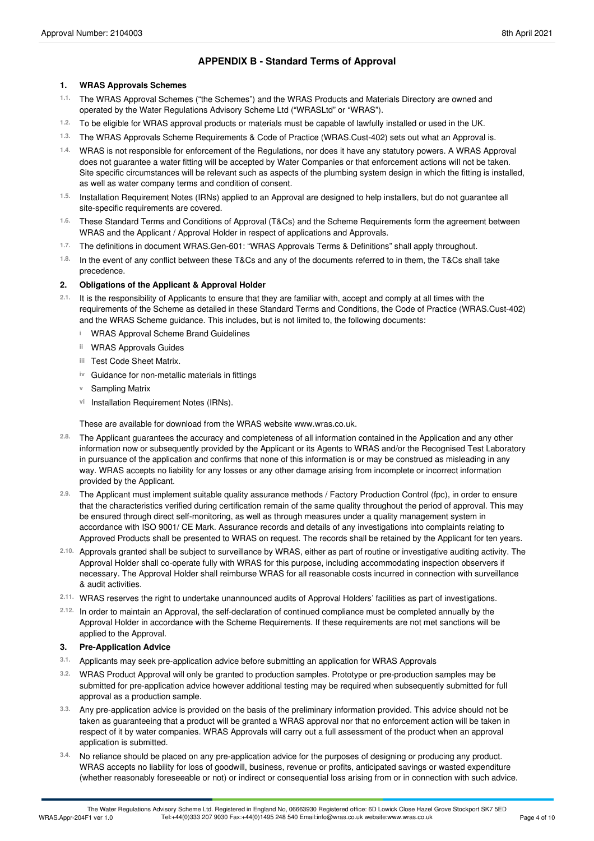# **APPENDIX B - Standard Terms of Approval**

## **1. WRAS Approvals Schemes**

- The WRAS Approval Schemes ("the Schemes") and the WRAS Products and Materials Directory are owned and operated by the Water Regulations Advisory Scheme Ltd ("WRASLtd" or "WRAS"). **1.1.**
- 1.2. To be eligible for WRAS approval products or materials must be capable of lawfully installed or used in the UK.
- The WRAS Approvals Scheme Requirements & Code of Practice (WRAS.Cust-402) sets out what an Approval is. **1.3.**
- WRAS is not responsible for enforcement of the Regulations, nor does it have any statutory powers. A WRAS Approval **1.4.** does not guarantee a water fitting will be accepted by Water Companies or that enforcement actions will not be taken. Site specific circumstances will be relevant such as aspects of the plumbing system design in which the fitting is installed, as well as water company terms and condition of consent.
- Installation Requirement Notes (IRNs) applied to an Approval are designed to help installers, but do not guarantee all 1.5. Installation Requirement Notes (IRNs) a site-specific requirements are covered.
- These Standard Terms and Conditions of Approval (T&Cs) and the Scheme Requirements form the agreement between WRAS and the Applicant / Approval Holder in respect of applications and Approvals. **1.6.**
- The definitions in document WRAS.Gen-601: "WRAS Approvals Terms & Definitions" shall apply throughout. **1.7.**
- <sup>1.8.</sup> In the event of any conflict between these T&Cs and any of the documents referred to in them, the T&Cs shall take<br>precedence.

# **2. Obligations of the Applicant & Approval Holder**

- 2.1. It is the responsibility of Applicants to ensure that they are familiar with, accept and comply at all times with the requirements of the Scheme as detailed in these Standard Terms and Conditions, the Code of Practice (WRAS.Cust-402) and the WRAS Scheme guidance. This includes, but is not limited to, the following documents:
	- **i** WRAS Approval Scheme Brand Guidelines
	- **ii** WRAS Approvals Guides
	- Test Code Sheet Matrix. **iii**
	- **iv** Guidance for non-metallic materials in fittings
	- **v** Sampling Matrix
	- vi Installation Requirement Notes (IRNs).

These are available for download from the WRAS website www.wras.co.uk.

- The Applicant guarantees the accuracy and completeness of all information contained in the Application and any other information now or subsequently provided by the Applicant or its Agents to WRAS and/or the Recognised Test Laboratory in pursuance of the application and confirms that none of this information is or may be construed as misleading in any way. WRAS accepts no liability for any losses or any other damage arising from incomplete or incorrect information provided by the Applicant. **2.8.**
- The Applicant must implement suitable quality assurance methods / Factory Production Control (fpc), in order to ensure **2.9.** that the characteristics verified during certification remain of the same quality throughout the period of approval. This may be ensured through direct self-monitoring, as well as through measures under a quality management system in accordance with ISO 9001/ CE Mark. Assurance records and details of any investigations into complaints relating to Approved Products shall be presented to WRAS on request. The records shall be retained by the Applicant for ten years.
- Approvals granted shall be subject to surveillance by WRAS, either as partof routine or investigative auditing activity. The **2.10.** Approval Holder shall co-operate fully with WRAS for this purpose, including accommodating inspection observers if necessary. The Approval Holder shall reimburse WRAS for all reasonable costs incurred in connection with surveillance & audit activities.
- WRAS reserves the right to undertake unannounced audits of Approval Holders' facilities as part of investigations. **2.11.**
- In order to maintain an Approval, the self-declaration of continued compliance must be completed annually by the **2.12.** Approval Holder in accordance with the Scheme Requirements. If these requirements are not met sanctions will be applied to the Approval.

#### **3. Pre-Application Advice**

- **3.1.** Applicants may seek pre-application advice before submitting an application for WRAS Approvals
- WRAS Product Approval will only be granted to production samples. Prototype or pre-production samples may be submitted for pre-application advice however additional testing may be required when subsequently submitted for full approval as a production sample. **3.2.**
- Any pre-application advice is provided on the basis of the preliminary information provided. This advice should not be taken as guaranteeing that a product will be granted a WRAS approval nor that no enforcement action will be taken in respect of it by water companies. WRAS Approvals will carry out a full assessment of the product when an approval application is submitted. **3.3.**
- No reliance should be placed on any pre-application advice for the purposes of designing or producing any product. WRAS accepts no liability for loss of goodwill, business, revenue or profits, anticipated savings or wasted expenditure (whether reasonably foreseeable or not) or indirect or consequential loss arising from or in connection with such advice. **3.4.**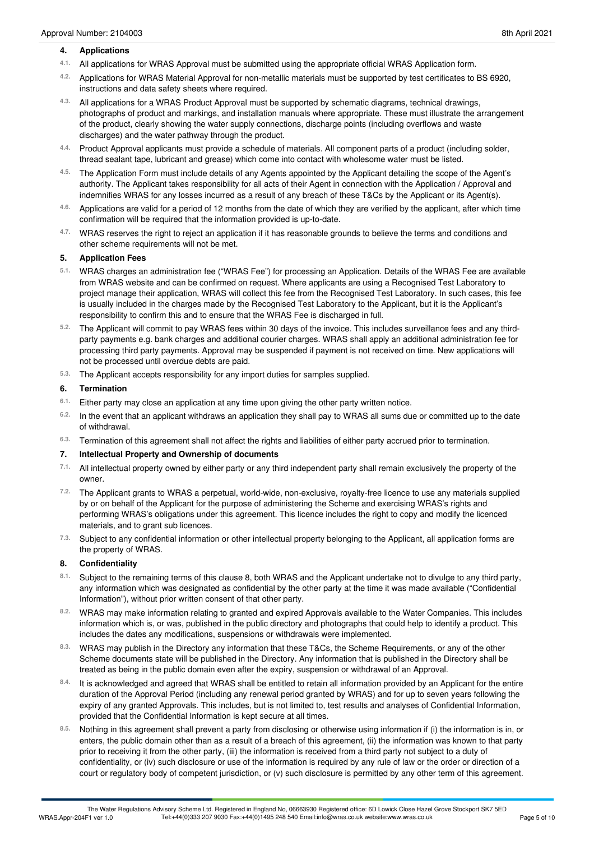## **4. Applications**

- All applications for WRAS Approval must be submitted using the appropriate officialWRAS Application form. **4.1.**
- Applications for WRAS Material Approval for non-metallic materials must be supported by test certificates to BS 6920, instructions and data safety sheets where required. **4.2.**
- All applications for a WRAS Product Approval must be supported by schematic diagrams, technical drawings, photographs of product and markings, and installation manuals where appropriate. These must illustrate the arrangement of the product, clearly showing the water supply connections, discharge points (including overflows and waste discharges) and the water pathway through the product. **4.3.**
- 4.4. Product Approval applicants must provide a schedule of materials. All component parts of a product (including solder,<br>thread sealant tape, lubricant and grease) which come into contact with wholesome water must be lis
- The Application Form must include details of any Agents appointed by the Applicant detailing the scope of the Agent's **4.5.** authority. The Applicant takes responsibility for all acts of their Agent in connection with the Application / Approval and indemnifies WRAS for any losses incurred as a result of any breach of these T&Cs by the Applicant or its Agent(s).
- Applications are valid for a period of 12 months from the date of which they are verified by the applicant, after which time 4.6. Applications are valid for a period of 12 months from the date of which t confirmation will be required that the information provided is up-to-date.
- WRAS reserves the right to reject an application if it has reasonable grounds to believe the terms and conditions and other scheme requirements will not be met. **4.7.**

## **5. Application Fees**

- WRAS charges an administration fee ("WRAS Fee") for processing an Application. Details of the WRAS Fee are available **5.1.** from WRAS website and can be confirmed on request. Where applicants are using a Recognised Test Laboratory to project manage their application, WRAS will collect this fee from the Recognised Test Laboratory. In such cases, this fee is usually included in the charges made by the Recognised Test Laboratory to the Applicant, but it is the Applicant's responsibility to confirm this and to ensure that the WRAS Fee is discharged in full.
- The Applicant will commit to pay WRAS fees within 30 days of the invoice. This includes surveillance fees and any third- **5.2.** party payments e.g. bank charges and additional courier charges. WRAS shall apply an additional administration fee for processing third party payments. Approval may be suspended if payment is not received on time. New applications will not be processed until overdue debts are paid.
- The Applicant accepts responsibility for any import duties for samples supplied. **5.3.**

# **6. Termination**

- Either party may close an application at any time upon giving the other party written notice. **6.1.**
- <sup>6.2.</sup> In the event that an applicant withdraws an application they shall pay to WRAS all sums due or committed up to the date<br>of withdrawal.
- Termination of this agreement shall not affect the rights and liabilities of either party accrued prior to termination. **6.3.**

#### **7. Intellectual Property and Ownership of documents**

- All intellectual property owned by either party or any third independent party shall remain exclusively the property of the owner. **7.1.**
- The Applicant grants to WRAS a perpetual, world-wide, non-exclusive, royalty-free licence to use any materials supplied **7.2.** by or on behalf of the Applicant for the purpose of administering the Scheme and exercising WRAS's rights and performing WRAS's obligations under this agreement. This licence includes the right to copy and modify the licenced materials, and to grant sub licences.
- <sup>7.3.</sup> Subject to any confidential information or other intellectual property belonging to the Applicant, all application forms are<br>the property of WRAS.

# **8. Confidentiality**

- 8.1. Subject to the remaining terms of this clause 8, both WRAS and the Applicant undertake not to divulge to any third party, any information which was designated as confidential by the other party at the time it was made available ("Confidential Information"), without prior written consent of that other party.
- WRAS may make information relating to granted and expired Approvals available to the Water Companies. This includes information which is, or was, published in the public directory and photographs that could help to identify a product. This includes the dates any modifications, suspensions or withdrawals were implemented. **8.2.**
- WRAS may publish in the Directory any information that these T&Cs, the Scheme Requirements, or any of the other **8.3.** Scheme documents state will be published in the Directory. Any information that is published in the Directory shall be treated as being in the public domain even after the expiry, suspension or withdrawal of an Approval.
- It is acknowledged and agreed that WRAS shall be entitled to retain all information provided by an Applicant for the entire duration of the Approval Period (including any renewal period granted by WRAS) and for up to seven years following the expiry of any granted Approvals. This includes, but is not limited to, test results and analyses of Confidential Information, provided that the Confidential Information is kept secure at all times. **8.4.**
- Nothing in this agreement shall prevent a party from disclosing or otherwise using information if (i) the information is in, or enters, the public domain other than as a result of a breach of this agreement. (ii) the information was known to that party prior to receiving it from the other party, (iii) the information is received from a third party not subject to a duty of confidentiality, or (iv) such disclosure or use of the information is required by any rule of law or the order or direction of a court or regulatory body of competent jurisdiction, or (v) such disclosure is permitted by any other term of this agreement. **8.5.**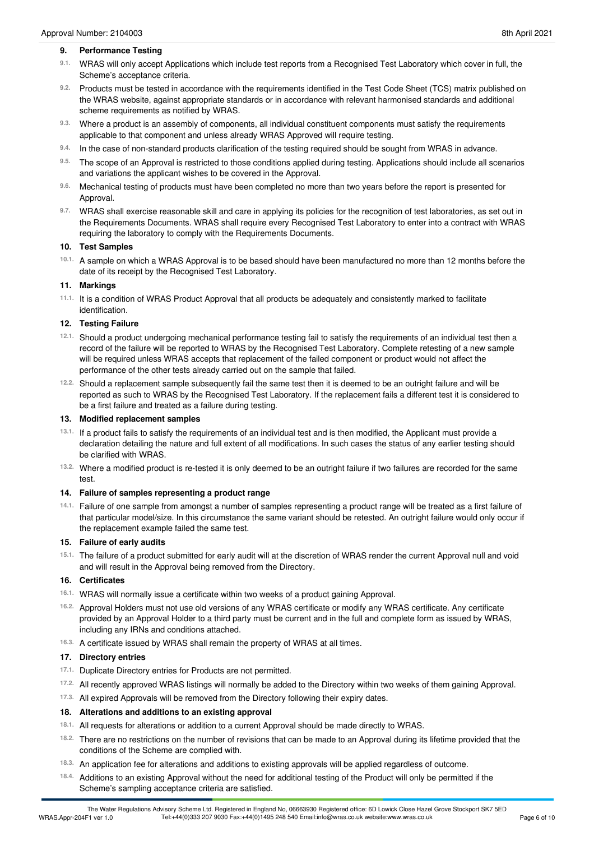#### **9. Performance Testing**

- <sup>9.1.</sup> WRAS will only accept Applications which include test reports from a Recognised Test Laboratory which cover in full, the<br>Scheme's acceptance criteria.
- 9.2. Products must be tested in accordance with the requirements identified in the Test Code Sheet (TCS) matrix published on the WRAS website, against appropriate standards or in accordance with relevant harmonised standards and additional scheme requirements as notified by WRAS.
- Where a product is an assembly of components, all individual constituent components must satisfy the requirements 9.3. Where a product is an assembly of components, all individual constituent components applicable to that component and unless already WRAS Approved will require testing.
- In the case of non-standard products clarification of the testing required should be sought from WRAS in advance. **9.4.**
- The scope of an Approval is restricted to those conditions applied during testing. Applications should include all scenarios 9.5. The scope of an Approval is restricted to those conditions applied and variations the applicant wishes to be covered in the Approval.
- Mechanical testing of products must have been completed no more than two years before the report is presented for Approval. **9.6.**
- WRAS shall exercise reasonable skill and care in applying its policies for the recognition of test laboratories, as set out in **9.7.** the Requirements Documents. WRAS shall require every Recognised Test Laboratory to enter into a contract with WRAS requiring the laboratory to comply with the Requirements Documents.

#### **10. Test Samples**

10.1. A sample on which a WRAS Approval is to be based should have been manufactured no more than 12 months before the date of its receipt by the Recognised Test Laboratory.

#### **11. Markings**

<sup>11.1.</sup> It is a condition of WRAS Product Approval that all products be adequately and consistently marked to facilitate<br>identification.

#### **12. Testing Failure**

- Should a product undergoing mechanical performance testing fail to satisfy the requirements of an individual test then a **12.1.** record of the failure will be reported to WRAS by the Recognised Test Laboratory. Complete retesting of a new sample will be required unless WRAS accepts that replacement of the failed component or product would not affect the performance of the other tests already carried out on the sample that failed.
- <sup>12.2.</sup> Should a replacement sample subsequently fail the same test then it is deemed to be an outright failure and will be reported as such to WRAS by the Recognised Test Laboratory. If the replacement fails a different test it is considered to be a first failure and treated as a failure during testing.

#### **13. Modified replacement samples**

- <sup>13.1.</sup> If a product fails to satisfy the requirements of an individual test and is then modified, the Applicant must provide a declaration detailing the nature and full extent of all modifications. In such cases the status of any earlier testing should be clarified with WRAS.
- Where a modified product is re-tested it is only deemed to be an outright failure if two failures are recorded for the same test. **13.2.**

#### **14. Failure of samples representing a product range**

Failure of one sample from amongst a number of samples representing a product range will be treated as a first failure of **14.1.** that particular model/size. In this circumstance the same variant should be retested. An outright failure would only occur if the replacement example failed the same test.

#### **15. Failure of early audits**

15.1. The failure of a product submitted for early audit will at the discretion of WRAS render the current Approval null and void and will result in the Approval being removed from the Directory.

#### **16. Certificates**

- WRAS will normally issue a certificate within two weeks of a product gaining Approval. **16.1.**
- <sup>16.2.</sup> Approval Holders must not use old versions of any WRAS certificate or modify any WRAS certificate. Any certificate provided by an Approval Holder to a third party must be current and in the full and complete form as issued by WRAS, including any IRNs and conditions attached.
- A certificate issued by WRAS shall remain the property of WRAS at all times. **16.3.**

#### **17. Directory entries**

- 17.1. Duplicate Directory entries for Products are not permitted.
- All recently approved WRAS listings will normally be added to the Directory within two weeks of them gaining Approval. **17.2.**
- <sup>17.3.</sup> All expired Approvals will be removed from the Directory following their expiry dates.

#### **18. Alterations and additions to an existing approval**

- 18.1. All requests for alterations or addition to a current Approval should be made directly to WRAS.
- There are no restrictions on the number of revisions that can be made to an Approval during its lifetime provided that the conditions of the Scheme are complied with. **18.2.**
- An application fee for alterations and additions to existing approvals will be applied regardless of outcome. **18.3.**
- Additions to an existing Approval without the need for additional testing of the Product will only be permitted if the Scheme's sampling acceptance criteria are satisfied. **18.4.**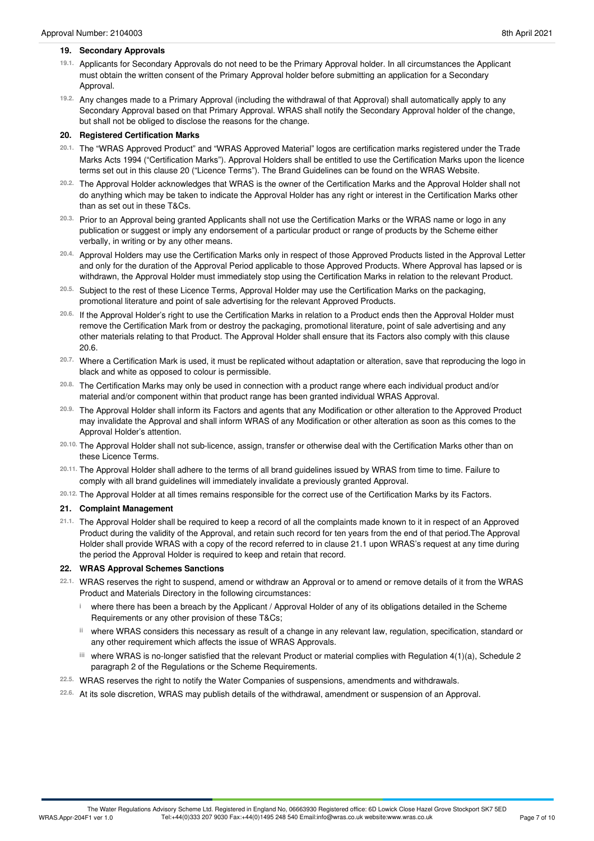#### **19. Secondary Approvals**

- 19.1. Applicants for Secondary Approvals do not need to be the Primary Approval holder. In all circumstances the Applicant must obtain the written consent of the Primary Approval holder before submitting an application for a Secondary Approval.
- Any changes made to a Primary Approval (including the withdrawal of that Approval) shall automatically apply to any **19.2.** Secondary Approval based on that Primary Approval. WRAS shall notify the Secondary Approval holder of the change, but shall not be obliged to disclose the reasons for the change.

# **20. Registered Certification Marks**

- <sup>20.1.</sup> The "WRAS Approved Product" and "WRAS Approved Material" logos are certification marks registered under the Trade Marks Acts 1994 ("Certification Marks"). Approval Holders shall be entitled to use the Certification Marks upon the licence terms set out in this clause 20 ("Licence Terms"). The Brand Guidelines can be found on the WRAS Website.
- The Approval Holder acknowledges that WRAS is the owner of the Certification Marks and the Approval Holder shall not **20.2.** do anything which may be taken to indicate the Approval Holder has any right or interest in the Certification Marks other than as set out in these T&Cs.
- Prior to an Approval being granted Applicants shall not use the Certification Marks or the WRAS name or logo in any **20.3.** publication or suggest or imply any endorsement of a particular product or range of products by the Scheme either verbally, in writing or by any other means.
- <sup>20.4.</sup> Approval Holders may use the Certification Marks only in respect of those Approved Products listed in the Approval Letter and only for the duration of the Approval Period applicable to those Approved Products. Where Approval has lapsed or is withdrawn, the Approval Holder must immediately stop using the Certification Marks in relation to the relevant Product.
- Subject to the rest of these Licence Terms, Approval Holder may use the Certification Marks on the packaging, promotional literature and point of sale advertising for the relevant Approved Products. **20.5.**
- <sup>20.6.</sup> If the Approval Holder's right to use the Certification Marks in relation to a Product ends then the Approval Holder must remove the Certification Mark from or destroy the packaging, promotional literature, point of sale advertising and any other materials relating to that Product. The Approval Holder shall ensure that its Factors also comply with this clause 20.6.
- <sup>20.7.</sup> Where a Certification Mark is used, it must be replicated without adaptation or alteration, save that reproducing the logo in<br>black and white as opposed to colour is permissible.
- The Certification Marks may only be used in connection with a product range where each individual product and/or material and/or component within that product range has been granted individual WRAS Approval. **20.8.**
- The Approval Holder shall inform its Factors and agents that any Modification or other alteration to the Approved Product **20.9.** may invalidate the Approval and shall inform WRAS of any Modification or other alteration as soon as this comes to the Approval Holder's attention.
- The Approval Holder shall not sub-licence, assign, transfer or otherwise deal with the Certification Marks other than on these Licence Terms. **20.10.**
- <sup>20.11.</sup> The Approval Holder shall adhere to the terms of all brand guidelines issued by WRAS from time to time. Failure to<br>comply with all brand guidelines will immediately invalidate a previously granted Approval.
- The Approval Holder at all times remains responsible for the correct use of the Certification Marks by its Factors. **20.12.**

#### **21. Complaint Management**

21.1. The Approval Holder shall be required to keep a record of all the complaints made known to it in respect of an Approved Product during the validity of the Approval, and retain such record for ten years from the end of that period.The Approval Holder shall provide WRAS with a copy of the record referred to in clause 21.1 upon WRAS's request at any time during the period the Approval Holder is required to keep and retain that record.

# **22. WRAS Approval Schemes Sanctions**

- WRAS reserves the right to suspend, amend or withdraw an Approval or to amend or remove details of it from the WRAS Product and Materials Directory in the following circumstances: **22.1.**
	- where there has been a breach by the Applicant / Approval Holder of any of its obligations detailed in the Scheme **i** Requirements or any other provision of these T&Cs;
	- where WRAS considers this necessary as result of a change in any relevant law, regulation, specification, standard or **ii** any other requirement which affects the issue of WRAS Approvals.
	- where WRAS is no-longer satisfied that the relevant Product or material complies with Regulation 4(1)(a), Schedule 2 **iii** paragraph 2 of the Regulations or the Scheme Requirements.
- WRAS reserves the right to notify the Water Companies of suspensions, amendments and withdrawals. **22.5.**
- At its sole discretion, WRAS may publish details of the withdrawal, amendment or suspension of an Approval. **22.6.**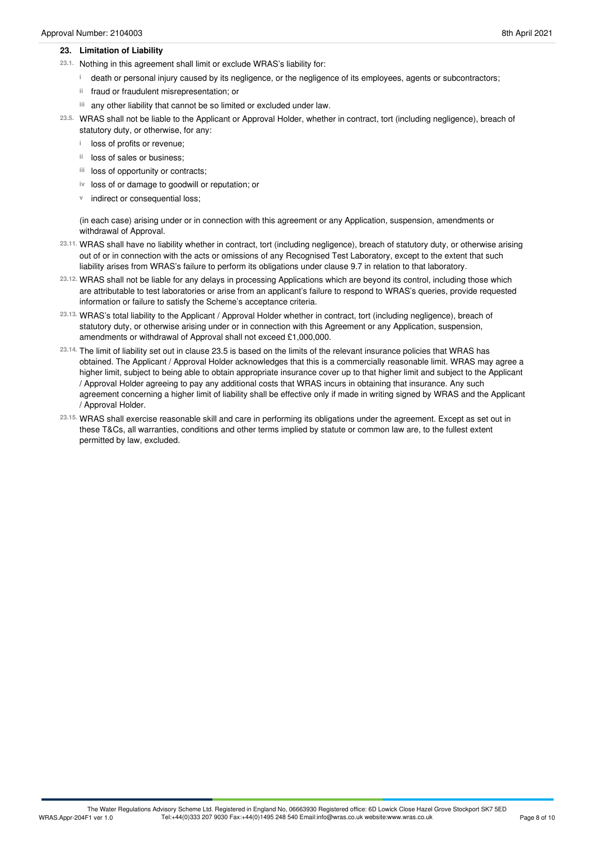#### **23. Limitation of Liability**

- 23.1. Nothing in this agreement shall limit or exclude WRAS's liability for:
	- death or personal injury caused by its negligence, or the negligence of its employees, agents or subcontractors; **i**
	- ii fraud or fraudulent misrepresentation; or
	- any other liability that cannot be so limited or excluded under law. **iii**
- WRAS shall not be liable to the Applicant or Approval Holder, whether in contract, tort (including negligence), breach of **23.5.** statutory duty, or otherwise, for any:
	- **i** loss of profits or revenue;
	- <sup>ii</sup> loss of sales or business;
	- iii loss of opportunity or contracts;
	- iv loss of or damage to goodwill or reputation; or
	- **v** indirect or consequential loss;

(in each case) arising under or in connection with this agreement or any Application, suspension, amendments or withdrawal of Approval.

- WRAS shall have no liability whether in contract, tort (including negligence), breach of statutory duty, or otherwise arising **23.11.** out of or in connection with the acts or omissions of any Recognised Test Laboratory, except to the extent that such liability arises from WRAS's failure to perform its obligations under clause 9.7 in relation to that laboratory.
- WRAS shall not be liable for any delays in processing Applications which are beyond its control, including those which **23.12.** are attributable to test laboratories or arise from an applicant's failure to respond to WRAS's queries, provide requested information or failure to satisfy the Scheme's acceptance criteria.
- WRAS's total liability to the Applicant / Approval Holder whether in contract, tort (including negligence), breach of **23.13.** statutory duty, or otherwise arising under or in connection with this Agreement or any Application, suspension, amendments or withdrawal of Approval shall not exceed £1,000,000.
- The limit of liability set out in clause 23.5 is based on the limits of the relevant insurance policies that WRAS has **23.14.** obtained. The Applicant / Approval Holder acknowledges that this is a commercially reasonable limit. WRAS may agree a higher limit, subject to being able to obtain appropriate insurance cover up to that higher limit and subject to the Applicant / Approval Holder agreeing to pay any additional costs that WRAS incurs in obtaining that insurance. Any such agreement concerning a higher limit of liability shall be effective only if made in writing signed by WRAS and the Applicant / Approval Holder.
- WRAS shall exercise reasonable skill and care in performing its obligations under the agreement. Except as set out in **23.15.** these T&Cs, all warranties, conditions and other terms implied by statute or common law are, to the fullest extent permitted by law, excluded.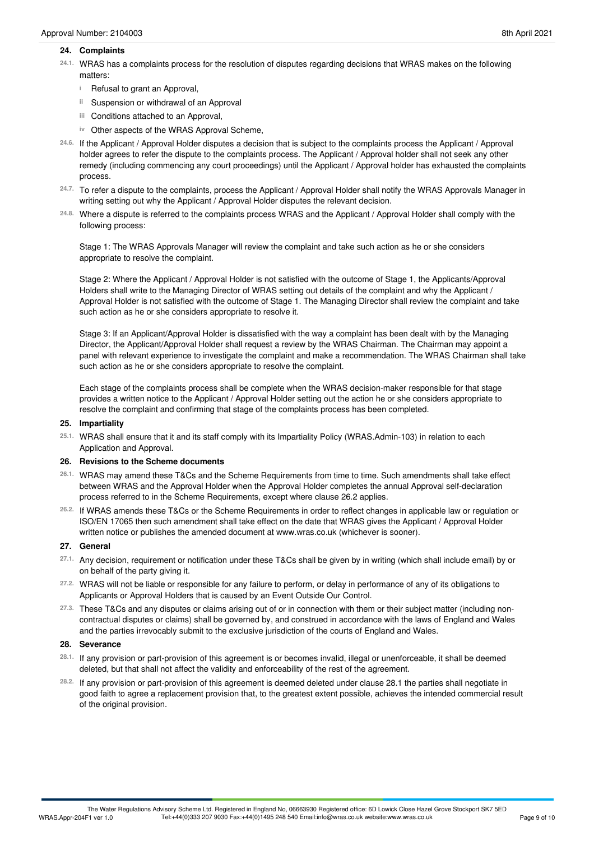#### **24. Complaints**

- WRAS has a complaints process for the resolution of disputes regarding decisions that WRAS makes on the following matters: **24.1.**
	- <sup>i</sup> Refusal to grant an Approval,
	- Suspension or withdrawal of an Approval **ii**
	- Conditions attached to an Approval, **iii**
	- iv Other aspects of the WRAS Approval Scheme,
- If the Applicant / Approval Holder disputes a decision that is subject to the complaints process the Applicant / Approval **24.6.** holder agrees to refer the dispute to the complaints process. The Applicant / Approval holder shall not seek any other remedy (including commencing any court proceedings) until the Applicant / Approval holder has exhausted the complaints process.
- To refer a dispute to the complaints, process the Applicant / Approval Holder shall notify the WRAS Approvals Manager in writing setting out why the Applicant / Approval Holder disputes the relevant decision. **24.7.**
- Where a dispute is referred to the complaints process WRAS and the Applicant / Approval Holder shall comply with the **24.8.** following process:

Stage 1: The WRAS Approvals Manager will review the complaint and take such action as he or she considers appropriate to resolve the complaint.

Stage 2: Where the Applicant / Approval Holder is not satisfied with the outcome of Stage 1, the Applicants/Approval Holders shall write to the Managing Director of WRAS setting out details of the complaint and why the Applicant / Approval Holder is not satisfied with the outcome of Stage 1. The Managing Director shall review the complaint and take such action as he or she considers appropriate to resolve it.

Stage 3: If an Applicant/Approval Holder is dissatisfied with the way a complaint has been dealt with by the Managing Director, the Applicant/Approval Holder shall request a review by the WRAS Chairman. The Chairman may appoint a panel with relevant experience to investigate the complaint and make a recommendation. The WRAS Chairman shall take such action as he or she considers appropriate to resolve the complaint.

Each stage of the complaints process shall be complete when the WRAS decision-maker responsible for that stage provides a written notice to the Applicant / Approval Holder setting out the action he or she considers appropriate to resolve the complaint and confirming that stage of the complaints process has been completed.

#### **25. Impartiality**

WRAS shall ensure that it and its staff comply with its Impartiality Policy (WRAS.Admin-103) in relation to each Application and Approval. **25.1.**

#### **26. Revisions to the Scheme documents**

- WRAS may amend these T&Cs and the Scheme Requirements from time to time. Such amendments shall take effect **26.1.** between WRAS and the Approval Holder when the Approval Holder completes the annual Approval self-declaration process referred to in the Scheme Requirements, except where clause 26.2 applies.
- If WRAS amends these T&Cs or the Scheme Requirements in order to reflect changes in applicable law or regulation or **26.2.** ISO/EN 17065 then such amendment shall take effect on the date that WRAS gives the Applicant / Approval Holder written notice or publishes the amended document at www.wras.co.uk (whichever is sooner).

#### **27. General**

- Any decision, requirement or notification under these T&Cs shall be given by in writing (which shall include email) by or on behalf of the party giving it. **27.1.**
- 27.2. WRAS will not be liable or responsible for any failure to perform, or delay in performance of any of its obligations to Applicants or Approval Holders that is caused by an Event Outside Our Control. **27.2.**
- These T&Cs and any disputes or claims arising out of or in connection with them or their subject matter (including non- **27.3.** contractual disputes or claims) shall be governed by, and construed in accordance with the laws of England and Wales and the parties irrevocably submit to the exclusive jurisdiction of the courts of England and Wales.

#### **28. Severance**

- <sup>28.1.</sup> If any provision or part-provision of this agreement is or becomes invalid, illegal or unenforceable, it shall be deemed<br>deleted, but that shall not affect the validity and enforceability of the rest of the agreeme
- If any provision or part-provision of this agreement is deemed deleted under clause 28.1 the parties shall negotiate in **28.2.** good faith to agree a replacement provision that, to the greatest extent possible, achieves the intended commercial result of the original provision.